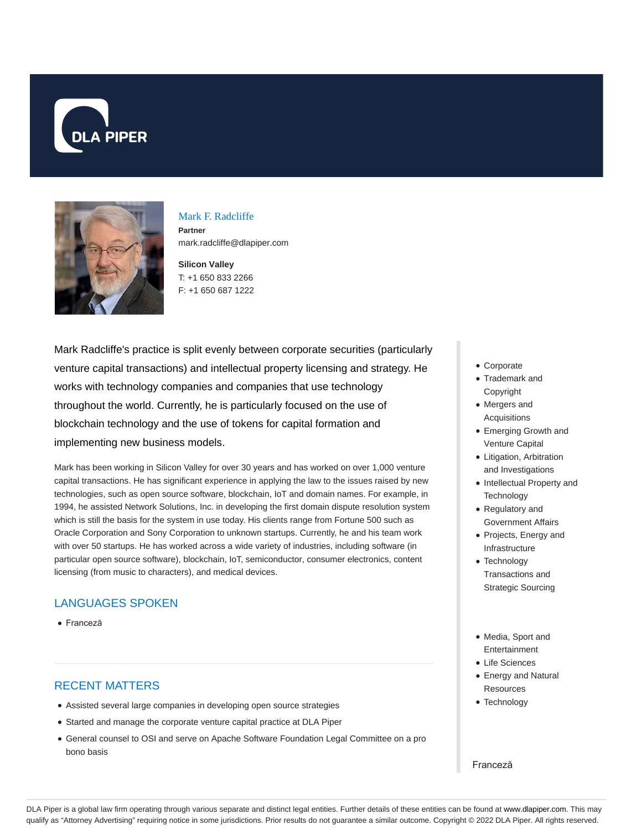



## Mark F. Radcliffe

**Partner** mark.radcliffe@dlapiper.com

**Silicon Valley** T: +1 650 833 2266 F: +1 650 687 1222

Mark Radcliffe's practice is split evenly between corporate securities (particularly venture capital transactions) and intellectual property licensing and strategy. He works with technology companies and companies that use technology throughout the world. Currently, he is particularly focused on the use of blockchain technology and the use of tokens for capital formation and implementing new business models.

Mark has been working in Silicon Valley for over 30 years and has worked on over 1,000 venture capital transactions. He has significant experience in applying the law to the issues raised by new technologies, such as open source software, blockchain, IoT and domain names. For example, in 1994, he assisted Network Solutions, Inc. in developing the first domain dispute resolution system which is still the basis for the system in use today. His clients range from Fortune 500 such as Oracle Corporation and Sony Corporation to unknown startups. Currently, he and his team work with over 50 startups. He has worked across a wide variety of industries, including software (in particular open source software), blockchain, IoT, semiconductor, consumer electronics, content licensing (from music to characters), and medical devices.

# LANGUAGES SPOKEN

Franceză

# RECENT MATTERS

- Assisted several large companies in developing open source strategies
- Started and manage the corporate venture capital practice at DLA Piper
- General counsel to OSI and serve on Apache Software Foundation Legal Committee on a pro bono basis
- Corporate
- Trademark and Copyright
- Mergers and Acquisitions
- Emerging Growth and Venture Capital
- Litigation, Arbitration and Investigations
- Intellectual Property and **Technology**
- Regulatory and Government Affairs
- Projects, Energy and Infrastructure
- Technology Transactions and Strategic Sourcing
- Media, Sport and Entertainment
- Life Sciences
- Energy and Natural **Resources**
- Technology

#### Franceză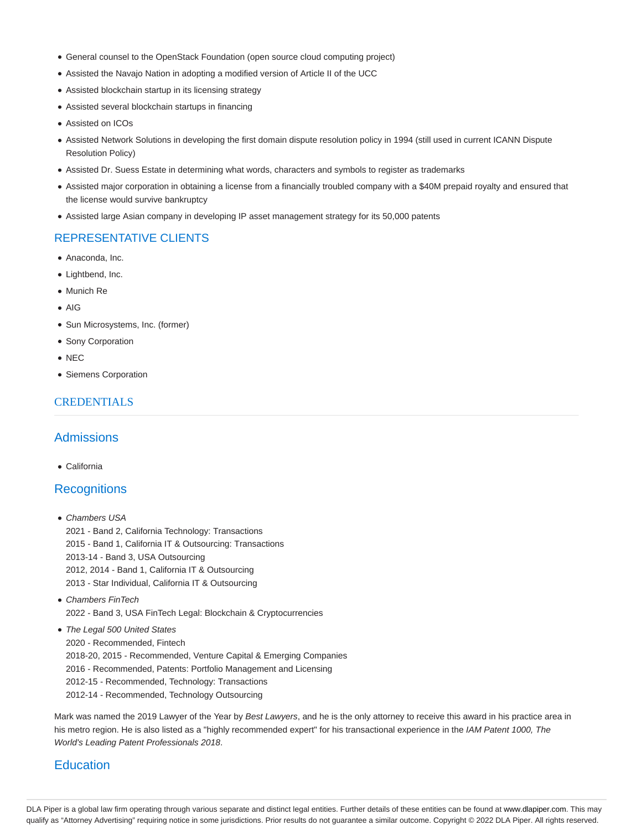- General counsel to the OpenStack Foundation (open source cloud computing project)
- Assisted the Navajo Nation in adopting a modified version of Article II of the UCC
- Assisted blockchain startup in its licensing strategy
- Assisted several blockchain startups in financing
- Assisted on ICOs
- Assisted Network Solutions in developing the first domain dispute resolution policy in 1994 (still used in current ICANN Dispute Resolution Policy)
- Assisted Dr. Suess Estate in determining what words, characters and symbols to register as trademarks
- Assisted major corporation in obtaining a license from a financially troubled company with a \$40M prepaid royalty and ensured that the license would survive bankruptcy
- Assisted large Asian company in developing IP asset management strategy for its 50,000 patents

### REPRESENTATIVE CLIENTS

- Anaconda, Inc.
- Lightbend, Inc.
- Munich Re
- AIG
- Sun Microsystems, Inc. (former)
- Sony Corporation
- NEC
- Siemens Corporation

### **CREDENTIALS**

# Admissions

California

## **Recognitions**

- Chambers USA 2021 - Band 2, California Technology: Transactions 2015 - Band 1, California IT & Outsourcing: Transactions 2013-14 - Band 3, USA Outsourcing 2012, 2014 - Band 1, California IT & Outsourcing 2013 - Star Individual, California IT & Outsourcing
- Chambers FinTech 2022 - Band 3, USA FinTech Legal: Blockchain & Cryptocurrencies
- The Legal 500 United States
- 2020 Recommended, Fintech 2018-20, 2015 - Recommended, Venture Capital & Emerging Companies 2016 - Recommended, Patents: Portfolio Management and Licensing 2012-15 - Recommended, Technology: Transactions 2012-14 - Recommended, Technology Outsourcing

Mark was named the 2019 Lawyer of the Year by Best Lawyers, and he is the only attorney to receive this award in his practice area in his metro region. He is also listed as a "highly recommended expert" for his transactional experience in the IAM Patent 1000, The World's Leading Patent Professionals 2018.

### **Education**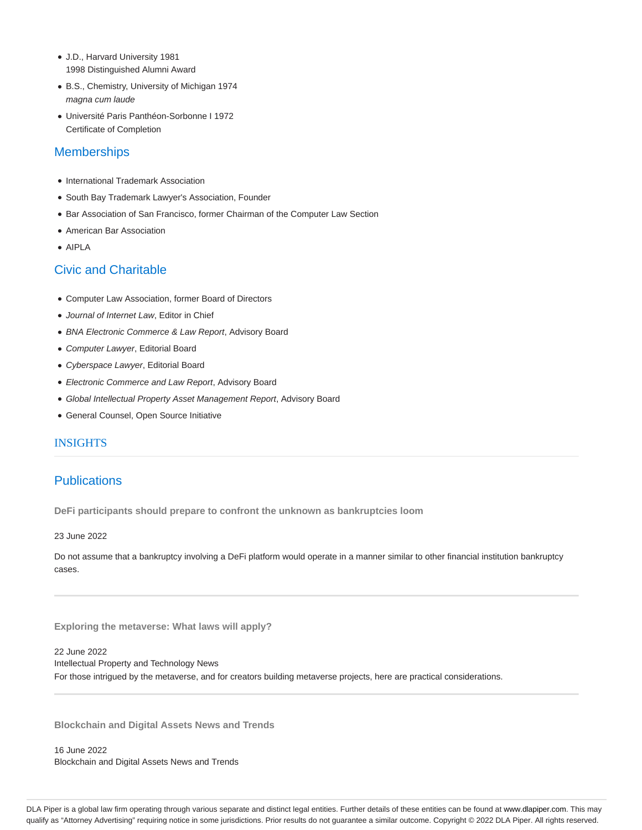- J.D., Harvard University 1981 1998 Distinguished Alumni Award
- B.S., Chemistry, University of Michigan 1974 magna cum laude
- Université Paris Panthéon-Sorbonne I 1972 Certificate of Completion

# **Memberships**

- International Trademark Association
- South Bay Trademark Lawyer's Association, Founder
- **Bar Association of San Francisco, former Chairman of the Computer Law Section**
- American Bar Association
- AIPLA

# Civic and Charitable

- Computer Law Association, former Board of Directors
- Journal of Internet Law, Editor in Chief
- BNA Electronic Commerce & Law Report, Advisory Board
- Computer Lawyer, Editorial Board
- Cyberspace Lawyer, Editorial Board
- Electronic Commerce and Law Report, Advisory Board
- Global Intellectual Property Asset Management Report, Advisory Board
- General Counsel, Open Source Initiative

# INSIGHTS

# **Publications**

**DeFi participants should prepare to confront the unknown as bankruptcies loom**

23 June 2022

Do not assume that a bankruptcy involving a DeFi platform would operate in a manner similar to other financial institution bankruptcy cases.

**Exploring the metaverse: What laws will apply?**

22 June 2022 Intellectual Property and Technology News For those intrigued by the metaverse, and for creators building metaverse projects, here are practical considerations.

**Blockchain and Digital Assets News and Trends**

16 June 2022 Blockchain and Digital Assets News and Trends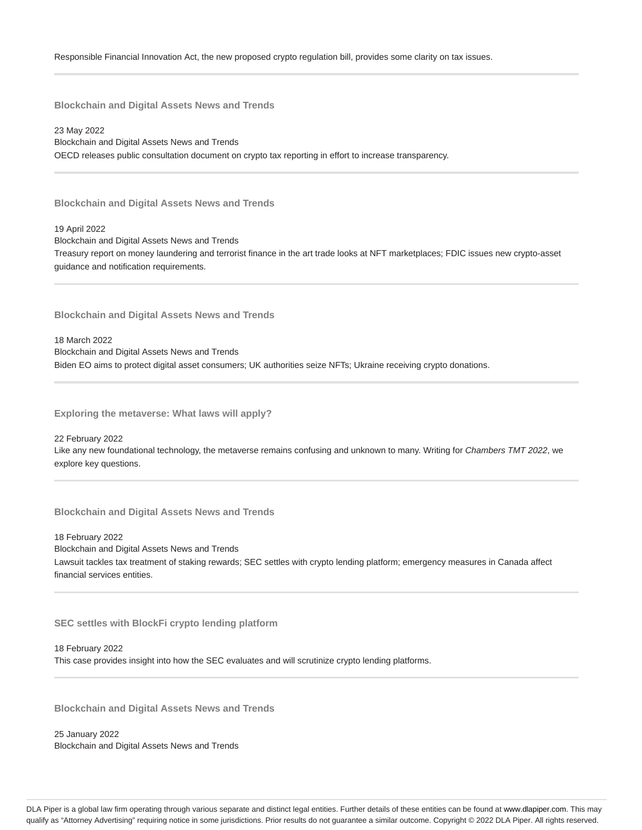23 May 2022 Blockchain and Digital Assets News and Trends OECD releases public consultation document on crypto tax reporting in effort to increase transparency.

**Blockchain and Digital Assets News and Trends**

19 April 2022 Blockchain and Digital Assets News and Trends Treasury report on money laundering and terrorist finance in the art trade looks at NFT marketplaces; FDIC issues new crypto-asset guidance and notification requirements.

**Blockchain and Digital Assets News and Trends**

18 March 2022 Blockchain and Digital Assets News and Trends Biden EO aims to protect digital asset consumers; UK authorities seize NFTs; Ukraine receiving crypto donations.

**Exploring the metaverse: What laws will apply?**

22 February 2022 Like any new foundational technology, the metaverse remains confusing and unknown to many. Writing for Chambers TMT 2022, we explore key questions.

**Blockchain and Digital Assets News and Trends**

18 February 2022 Blockchain and Digital Assets News and Trends Lawsuit tackles tax treatment of staking rewards; SEC settles with crypto lending platform; emergency measures in Canada affect financial services entities.

**SEC settles with BlockFi crypto lending platform**

18 February 2022 This case provides insight into how the SEC evaluates and will scrutinize crypto lending platforms.

**Blockchain and Digital Assets News and Trends**

25 January 2022 Blockchain and Digital Assets News and Trends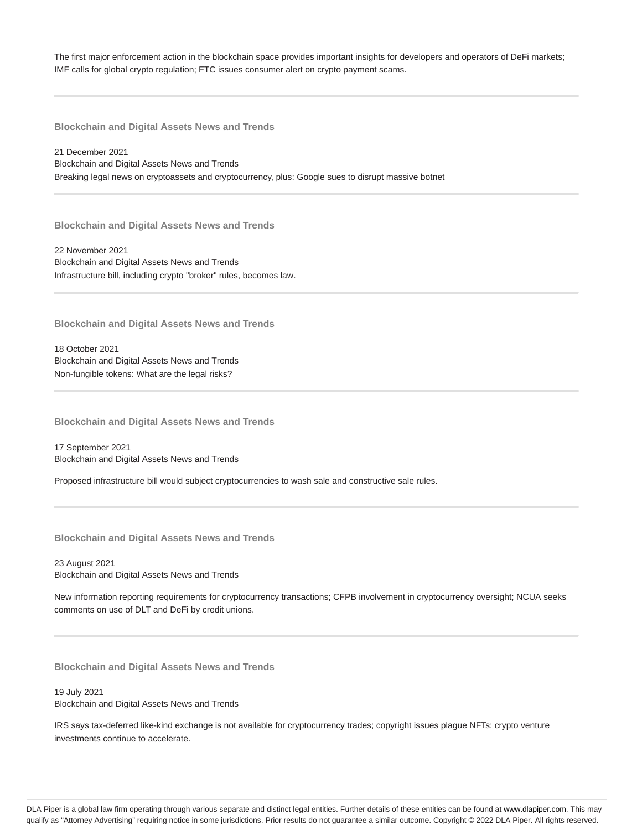The first major enforcement action in the blockchain space provides important insights for developers and operators of DeFi markets; IMF calls for global crypto regulation; FTC issues consumer alert on crypto payment scams.

**Blockchain and Digital Assets News and Trends**

21 December 2021 Blockchain and Digital Assets News and Trends Breaking legal news on cryptoassets and cryptocurrency, plus: Google sues to disrupt massive botnet

**Blockchain and Digital Assets News and Trends**

22 November 2021 Blockchain and Digital Assets News and Trends Infrastructure bill, including crypto "broker" rules, becomes law.

**Blockchain and Digital Assets News and Trends**

18 October 2021 Blockchain and Digital Assets News and Trends Non-fungible tokens: What are the legal risks?

**Blockchain and Digital Assets News and Trends**

17 September 2021 Blockchain and Digital Assets News and Trends

Proposed infrastructure bill would subject cryptocurrencies to wash sale and constructive sale rules.

**Blockchain and Digital Assets News and Trends**

23 August 2021 Blockchain and Digital Assets News and Trends

New information reporting requirements for cryptocurrency transactions; CFPB involvement in cryptocurrency oversight; NCUA seeks comments on use of DLT and DeFi by credit unions.

**Blockchain and Digital Assets News and Trends**

19 July 2021 Blockchain and Digital Assets News and Trends

IRS says tax-deferred like-kind exchange is not available for cryptocurrency trades; copyright issues plague NFTs; crypto venture investments continue to accelerate.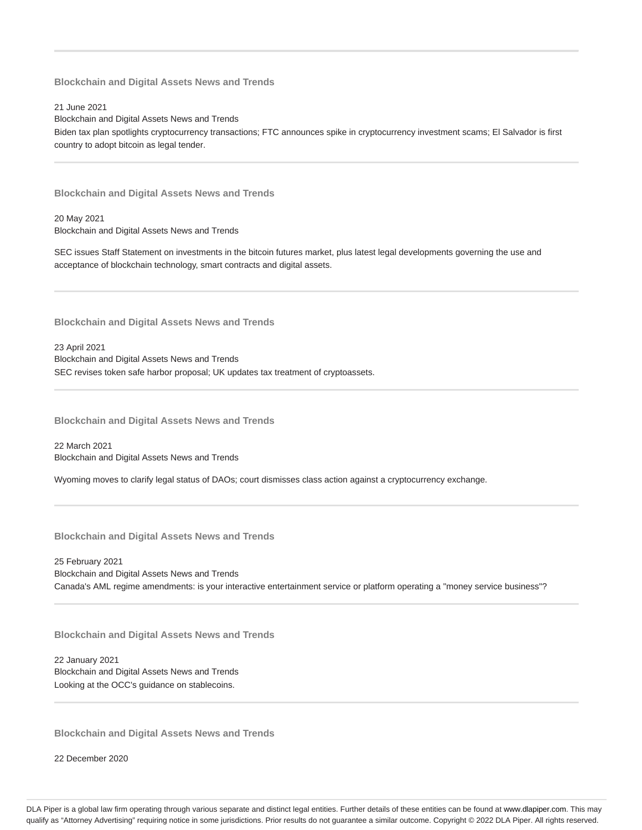21 June 2021

Blockchain and Digital Assets News and Trends Biden tax plan spotlights cryptocurrency transactions; FTC announces spike in cryptocurrency investment scams; El Salvador is first country to adopt bitcoin as legal tender.

**Blockchain and Digital Assets News and Trends**

20 May 2021 Blockchain and Digital Assets News and Trends

SEC issues Staff Statement on investments in the bitcoin futures market, plus latest legal developments governing the use and acceptance of blockchain technology, smart contracts and digital assets.

**Blockchain and Digital Assets News and Trends**

23 April 2021 Blockchain and Digital Assets News and Trends SEC revises token safe harbor proposal; UK updates tax treatment of cryptoassets.

**Blockchain and Digital Assets News and Trends**

22 March 2021 Blockchain and Digital Assets News and Trends

Wyoming moves to clarify legal status of DAOs; court dismisses class action against a cryptocurrency exchange.

**Blockchain and Digital Assets News and Trends**

25 February 2021 Blockchain and Digital Assets News and Trends Canada's AML regime amendments: is your interactive entertainment service or platform operating a "money service business"?

**Blockchain and Digital Assets News and Trends**

22 January 2021 Blockchain and Digital Assets News and Trends Looking at the OCC's guidance on stablecoins.

**Blockchain and Digital Assets News and Trends**

22 December 2020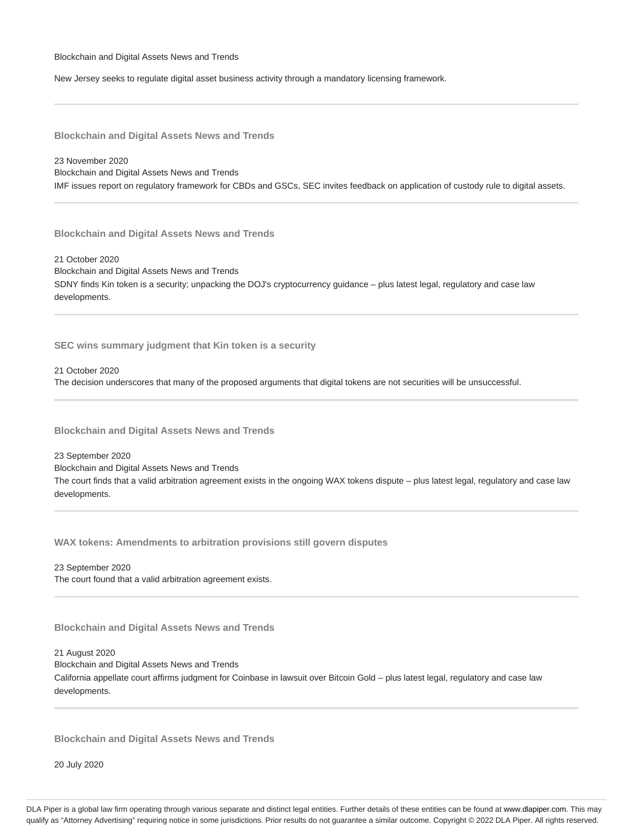New Jersey seeks to regulate digital asset business activity through a mandatory licensing framework.

**Blockchain and Digital Assets News and Trends**

23 November 2020 Blockchain and Digital Assets News and Trends IMF issues report on regulatory framework for CBDs and GSCs, SEC invites feedback on application of custody rule to digital assets.

**Blockchain and Digital Assets News and Trends**

21 October 2020 Blockchain and Digital Assets News and Trends SDNY finds Kin token is a security; unpacking the DOJ's cryptocurrency guidance – plus latest legal, regulatory and case law developments.

**SEC wins summary judgment that Kin token is a security**

21 October 2020 The decision underscores that many of the proposed arguments that digital tokens are not securities will be unsuccessful.

**Blockchain and Digital Assets News and Trends**

23 September 2020 Blockchain and Digital Assets News and Trends The court finds that a valid arbitration agreement exists in the ongoing WAX tokens dispute – plus latest legal, regulatory and case law developments.

**WAX tokens: Amendments to arbitration provisions still govern disputes**

23 September 2020 The court found that a valid arbitration agreement exists.

**Blockchain and Digital Assets News and Trends**

21 August 2020 Blockchain and Digital Assets News and Trends California appellate court affirms judgment for Coinbase in lawsuit over Bitcoin Gold – plus latest legal, regulatory and case law developments.

**Blockchain and Digital Assets News and Trends**

20 July 2020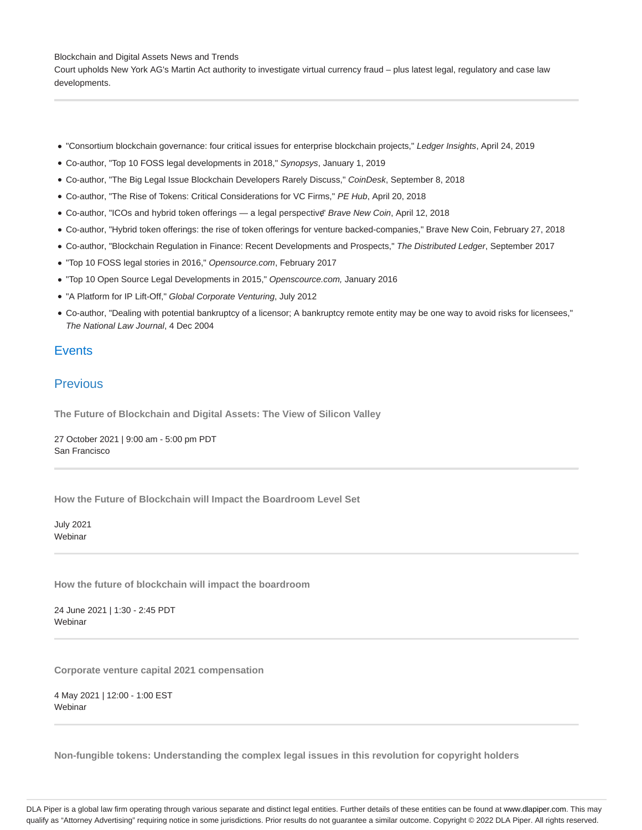Court upholds New York AG's Martin Act authority to investigate virtual currency fraud – plus latest legal, regulatory and case law developments.

- "Consortium blockchain governance: four critical issues for enterprise blockchain projects," Ledger Insights, April 24, 2019
- Co-author, "Top 10 FOSS legal developments in 2018," Synopsys, January 1, 2019
- Co-author, "The Big Legal Issue Blockchain Developers Rarely Discuss," CoinDesk, September 8, 2018
- Co-author, "The Rise of Tokens: Critical Considerations for VC Firms," PE Hub, April 20, 2018
- Co-author, "ICOs and hybrid token offerings a legal perspective" Brave New Coin, April 12, 2018
- Co-author, "Hybrid token offerings: the rise of token offerings for venture backed-companies," Brave New Coin, February 27, 2018
- Co-author, "Blockchain Regulation in Finance: Recent Developments and Prospects," The Distributed Ledger, September 2017
- "Top 10 FOSS legal stories in 2016," Opensource.com, February 2017
- "Top 10 Open Source Legal Developments in 2015," Openscource.com, January 2016
- "A Platform for IP Lift-Off," Global Corporate Venturing, July 2012
- Co-author, "Dealing with potential bankruptcy of a licensor; A bankruptcy remote entity may be one way to avoid risks for licensees," The National Law Journal, 4 Dec 2004

## **Events**

# Previous

**The Future of Blockchain and Digital Assets: The View of Silicon Valley**

27 October 2021 | 9:00 am - 5:00 pm PDT San Francisco

**How the Future of Blockchain will Impact the Boardroom Level Set**

July 2021 Webinar

**How the future of blockchain will impact the boardroom**

24 June 2021 | 1:30 - 2:45 PDT **Webinar** 

**Corporate venture capital 2021 compensation**

4 May 2021 | 12:00 - 1:00 EST **Webinar** 

**Non-fungible tokens: Understanding the complex legal issues in this revolution for copyright holders**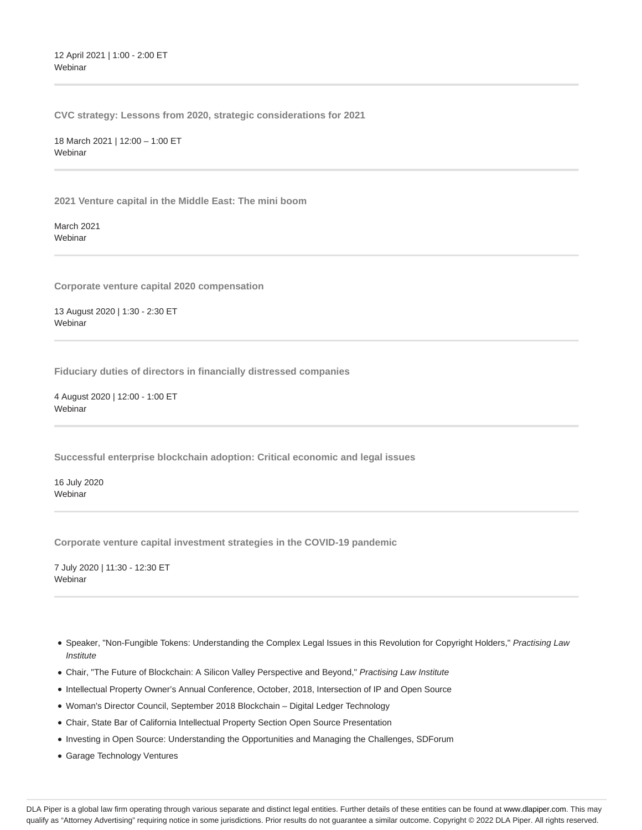12 April 2021 | 1:00 - 2:00 ET Webinar

**CVC strategy: Lessons from 2020, strategic considerations for 2021**

18 March 2021 | 12:00 – 1:00 ET **Webinar** 

**2021 Venture capital in the Middle East: The mini boom**

March 2021 Webinar

**Corporate venture capital 2020 compensation**

13 August 2020 | 1:30 - 2:30 ET **Webinar** 

**Fiduciary duties of directors in financially distressed companies**

4 August 2020 | 12:00 - 1:00 ET Webinar

**Successful enterprise blockchain adoption: Critical economic and legal issues**

16 July 2020 Webinar

**Corporate venture capital investment strategies in the COVID-19 pandemic**

7 July 2020 | 11:30 - 12:30 ET Webinar

- Speaker, "Non-Fungible Tokens: Understanding the Complex Legal Issues in this Revolution for Copyright Holders," Practising Law **Institute**
- Chair, "The Future of Blockchain: A Silicon Valley Perspective and Beyond," Practising Law Institute
- Intellectual Property Owner's Annual Conference, October, 2018, Intersection of IP and Open Source
- Woman's Director Council, September 2018 Blockchain Digital Ledger Technology
- Chair, State Bar of California Intellectual Property Section Open Source Presentation
- Investing in Open Source: Understanding the Opportunities and Managing the Challenges, SDForum
- Garage Technology Ventures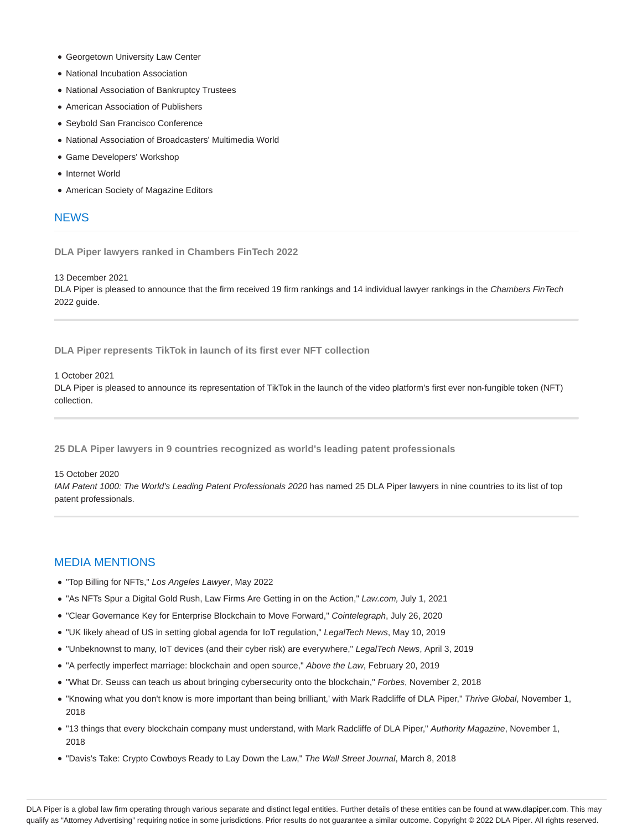- Georgetown University Law Center
- National Incubation Association
- National Association of Bankruptcy Trustees
- American Association of Publishers
- Seybold San Francisco Conference
- National Association of Broadcasters' Multimedia World
- Game Developers' Workshop
- Internet World
- American Society of Magazine Editors

## **NEWS**

**DLA Piper lawyers ranked in Chambers FinTech 2022**

13 December 2021

DLA Piper is pleased to announce that the firm received 19 firm rankings and 14 individual lawyer rankings in the Chambers FinTech 2022 guide.

**DLA Piper represents TikTok in launch of its first ever NFT collection**

#### 1 October 2021

DLA Piper is pleased to announce its representation of TikTok in the launch of the video platform's first ever non-fungible token (NFT) collection.

**25 DLA Piper lawyers in 9 countries recognized as world's leading patent professionals**

#### 15 October 2020

IAM Patent 1000: The World's Leading Patent Professionals 2020 has named 25 DLA Piper lawyers in nine countries to its list of top patent professionals.

### MEDIA MENTIONS

- "Top Billing for NFTs," Los Angeles Lawyer, May 2022
- . "As NFTs Spur a Digital Gold Rush, Law Firms Are Getting in on the Action," Law.com, July 1, 2021
- "Clear Governance Key for Enterprise Blockchain to Move Forward," Cointelegraph, July 26, 2020
- "UK likely ahead of US in setting global agenda for IoT regulation," LegalTech News, May 10, 2019
- "Unbeknownst to many, IoT devices (and their cyber risk) are everywhere," LegalTech News, April 3, 2019
- "A perfectly imperfect marriage: blockchain and open source," Above the Law, February 20, 2019
- . "What Dr. Seuss can teach us about bringing cybersecurity onto the blockchain," Forbes, November 2, 2018
- . "Knowing what you don't know is more important than being brilliant,' with Mark Radcliffe of DLA Piper," Thrive Global, November 1, 2018
- . "13 things that every blockchain company must understand, with Mark Radcliffe of DLA Piper," Authority Magazine, November 1, 2018
- "Davis's Take: Crypto Cowboys Ready to Lay Down the Law," The Wall Street Journal, March 8, 2018